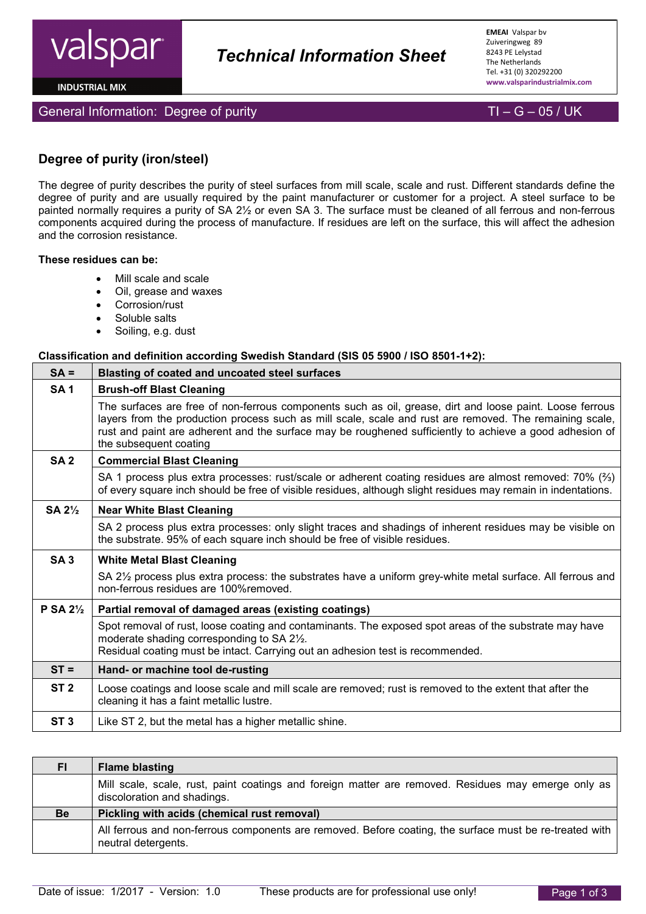

**INDUSTRIAL MIX** 

General Information: Degree of purity  $\Box$  TI – G – 05 / UK

# **Degree of purity (iron/steel)**

The degree of purity describes the purity of steel surfaces from mill scale, scale and rust. Different standards define the degree of purity and are usually required by the paint manufacturer or customer for a project. A steel surface to be painted normally requires a purity of SA 2½ or even SA 3. The surface must be cleaned of all ferrous and non-ferrous components acquired during the process of manufacture. If residues are left on the surface, this will affect the adhesion and the corrosion resistance.

 *Technical Information Sheet*

#### **These residues can be:**

- Mill scale and scale
- Oil, grease and waxes
- Corrosion/rust
- Soluble salts
- Soiling, e.g. dust

#### **Classification and definition according Swedish Standard (SIS 05 5900 / ISO 8501-1+2):**

| $SA =$              | <b>Blasting of coated and uncoated steel surfaces</b>                                                                                                                                                                                                                                                                                                    |  |  |  |  |  |  |  |
|---------------------|----------------------------------------------------------------------------------------------------------------------------------------------------------------------------------------------------------------------------------------------------------------------------------------------------------------------------------------------------------|--|--|--|--|--|--|--|
| <b>SA1</b>          | <b>Brush-off Blast Cleaning</b>                                                                                                                                                                                                                                                                                                                          |  |  |  |  |  |  |  |
|                     | The surfaces are free of non-ferrous components such as oil, grease, dirt and loose paint. Loose ferrous<br>layers from the production process such as mill scale, scale and rust are removed. The remaining scale,<br>rust and paint are adherent and the surface may be roughened sufficiently to achieve a good adhesion of<br>the subsequent coating |  |  |  |  |  |  |  |
| SA <sub>2</sub>     | <b>Commercial Blast Cleaning</b>                                                                                                                                                                                                                                                                                                                         |  |  |  |  |  |  |  |
|                     | SA 1 process plus extra processes: rust/scale or adherent coating residues are almost removed: 70% $(2)$<br>of every square inch should be free of visible residues, although slight residues may remain in indentations.                                                                                                                                |  |  |  |  |  |  |  |
| SA $2\frac{1}{2}$   | <b>Near White Blast Cleaning</b>                                                                                                                                                                                                                                                                                                                         |  |  |  |  |  |  |  |
|                     | SA 2 process plus extra processes: only slight traces and shadings of inherent residues may be visible on<br>the substrate. 95% of each square inch should be free of visible residues.                                                                                                                                                                  |  |  |  |  |  |  |  |
| <b>SA3</b>          | <b>White Metal Blast Cleaning</b>                                                                                                                                                                                                                                                                                                                        |  |  |  |  |  |  |  |
|                     | SA 21/2 process plus extra process: the substrates have a uniform grey-white metal surface. All ferrous and<br>non-ferrous residues are 100%removed.                                                                                                                                                                                                     |  |  |  |  |  |  |  |
| P SA $2\frac{1}{2}$ | Partial removal of damaged areas (existing coatings)                                                                                                                                                                                                                                                                                                     |  |  |  |  |  |  |  |
|                     | Spot removal of rust, loose coating and contaminants. The exposed spot areas of the substrate may have<br>moderate shading corresponding to SA 21/2.<br>Residual coating must be intact. Carrying out an adhesion test is recommended.                                                                                                                   |  |  |  |  |  |  |  |
| $ST =$              | Hand- or machine tool de-rusting                                                                                                                                                                                                                                                                                                                         |  |  |  |  |  |  |  |
| ST <sub>2</sub>     | Loose coatings and loose scale and mill scale are removed; rust is removed to the extent that after the<br>cleaning it has a faint metallic lustre.                                                                                                                                                                                                      |  |  |  |  |  |  |  |
| ST <sub>3</sub>     | Like ST 2, but the metal has a higher metallic shine.                                                                                                                                                                                                                                                                                                    |  |  |  |  |  |  |  |

| FI        | <b>Flame blasting</b>                                                                                                              |
|-----------|------------------------------------------------------------------------------------------------------------------------------------|
|           | Mill scale, scale, rust, paint coatings and foreign matter are removed. Residues may emerge only as<br>discoloration and shadings. |
| <b>Be</b> | Pickling with acids (chemical rust removal)                                                                                        |
|           | All ferrous and non-ferrous components are removed. Before coating, the surface must be re-treated with<br>neutral detergents.     |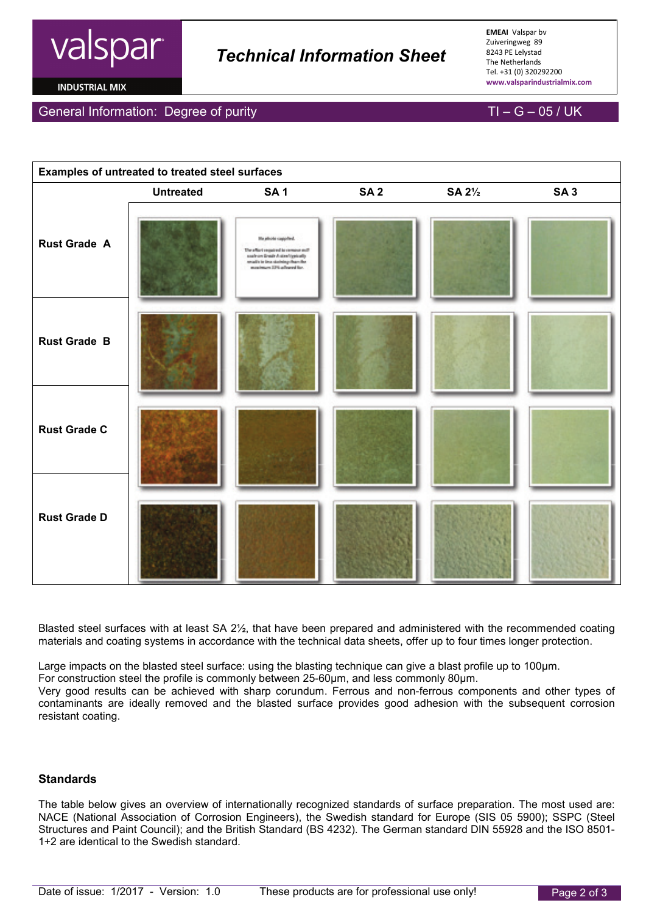

# *Technical Information Sheet*

**EMEAI** Valspar bv Zuiveringweg 89 8243 PE Lelystad The Netherlands Tel. +31 (0) 320292200 **www.valsparindustrialmix.com**

**INDUSTRIAL MIX** 

#### General Information: Degree of purity  $\overline{I}I - G - 05$  / UK





Blasted steel surfaces with at least SA 2½, that have been prepared and administered with the recommended coating materials and coating systems in accordance with the technical data sheets, offer up to four times longer protection.

Large impacts on the blasted steel surface: using the blasting technique can give a blast profile up to 100µm. For construction steel the profile is commonly between 25-60µm, and less commonly 80µm. Very good results can be achieved with sharp corundum. Ferrous and non-ferrous components and other types of contaminants are ideally removed and the blasted surface provides good adhesion with the subsequent corrosion resistant coating.

### **Standards**

The table below gives an overview of internationally recognized standards of surface preparation. The most used are: NACE (National Association of Corrosion Engineers), the Swedish standard for Europe (SIS 05 5900); SSPC (Steel Structures and Paint Council); and the British Standard (BS 4232). The German standard DIN 55928 and the ISO 8501- 1+2 are identical to the Swedish standard.